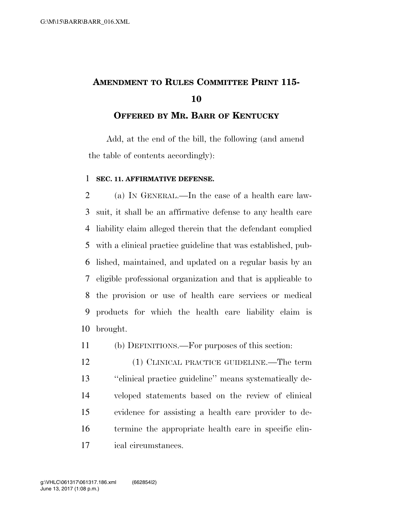## **AMENDMENT TO RULES COMMITTEE PRINT 115-**

## **OFFERED BY MR. BARR OF KENTUCKY**

Add, at the end of the bill, the following (and amend the table of contents accordingly):

## **SEC. 11. AFFIRMATIVE DEFENSE.**

 (a) IN GENERAL.—In the case of a health care law- suit, it shall be an affirmative defense to any health care liability claim alleged therein that the defendant complied with a clinical practice guideline that was established, pub- lished, maintained, and updated on a regular basis by an eligible professional organization and that is applicable to the provision or use of health care services or medical products for which the health care liability claim is brought.

(b) DEFINITIONS.—For purposes of this section:

 (1) CLINICAL PRACTICE GUIDELINE.—The term ''clinical practice guideline'' means systematically de- veloped statements based on the review of clinical evidence for assisting a health care provider to de- termine the appropriate health care in specific clin-ical circumstances.